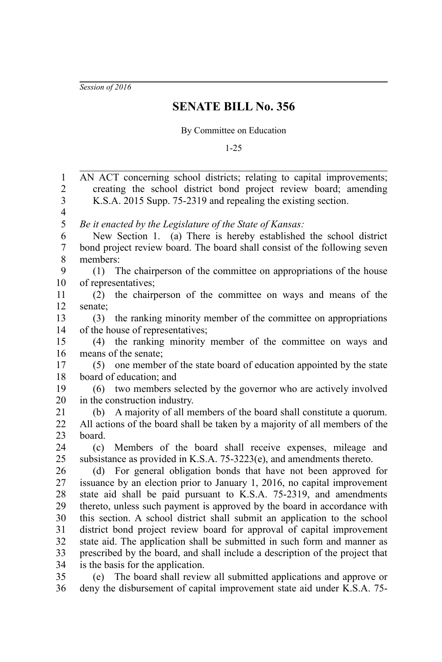*Session of 2016*

## **SENATE BILL No. 356**

## By Committee on Education

1-25

AN ACT concerning school districts; relating to capital improvements; creating the school district bond project review board; amending K.S.A. 2015 Supp. 75-2319 and repealing the existing section. *Be it enacted by the Legislature of the State of Kansas:* New Section 1. (a) There is hereby established the school district bond project review board. The board shall consist of the following seven members: (1) The chairperson of the committee on appropriations of the house of representatives; (2) the chairperson of the committee on ways and means of the senate; (3) the ranking minority member of the committee on appropriations of the house of representatives; (4) the ranking minority member of the committee on ways and means of the senate; (5) one member of the state board of education appointed by the state board of education; and (6) two members selected by the governor who are actively involved in the construction industry. (b) A majority of all members of the board shall constitute a quorum. All actions of the board shall be taken by a majority of all members of the board. (c) Members of the board shall receive expenses, mileage and subsistance as provided in K.S.A. 75-3223(e), and amendments thereto. (d) For general obligation bonds that have not been approved for issuance by an election prior to January 1, 2016, no capital improvement state aid shall be paid pursuant to K.S.A. 75-2319, and amendments thereto, unless such payment is approved by the board in accordance with this section. A school district shall submit an application to the school district bond project review board for approval of capital improvement state aid. The application shall be submitted in such form and manner as prescribed by the board, and shall include a description of the project that is the basis for the application. (e) The board shall review all submitted applications and approve or deny the disbursement of capital improvement state aid under K.S.A. 75- 1 2 3 4 5 6 7 8 9 10 11 12 13 14 15 16 17 18 19 20 21 22 23 24 25 26 27 28 29 30 31 32 33 34 35 36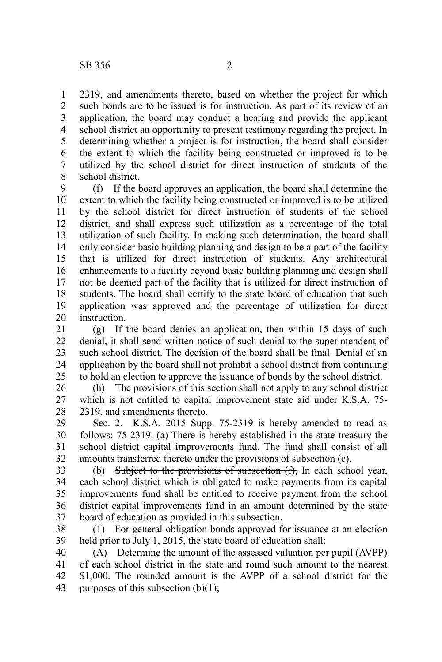2319, and amendments thereto, based on whether the project for which such bonds are to be issued is for instruction. As part of its review of an application, the board may conduct a hearing and provide the applicant school district an opportunity to present testimony regarding the project. In determining whether a project is for instruction, the board shall consider the extent to which the facility being constructed or improved is to be utilized by the school district for direct instruction of students of the school district. 1 2 3 4 5 6 7 8

(f) If the board approves an application, the board shall determine the extent to which the facility being constructed or improved is to be utilized by the school district for direct instruction of students of the school district, and shall express such utilization as a percentage of the total utilization of such facility. In making such determination, the board shall only consider basic building planning and design to be a part of the facility that is utilized for direct instruction of students. Any architectural enhancements to a facility beyond basic building planning and design shall not be deemed part of the facility that is utilized for direct instruction of students. The board shall certify to the state board of education that such application was approved and the percentage of utilization for direct instruction. 9 10 11 12 13 14 15 16 17 18 19 20

(g) If the board denies an application, then within 15 days of such denial, it shall send written notice of such denial to the superintendent of such school district. The decision of the board shall be final. Denial of an application by the board shall not prohibit a school district from continuing to hold an election to approve the issuance of bonds by the school district. 21 22 23 24 25

(h) The provisions of this section shall not apply to any school district which is not entitled to capital improvement state aid under K.S.A. 75- 2319, and amendments thereto. 26 27 28

Sec. 2. K.S.A. 2015 Supp. 75-2319 is hereby amended to read as follows: 75-2319. (a) There is hereby established in the state treasury the school district capital improvements fund. The fund shall consist of all amounts transferred thereto under the provisions of subsection (c). 29 30 31 32

(b) Subject to the provisions of subsection  $(f)$ , In each school year, each school district which is obligated to make payments from its capital improvements fund shall be entitled to receive payment from the school district capital improvements fund in an amount determined by the state board of education as provided in this subsection. 33 34 35 36 37

(1) For general obligation bonds approved for issuance at an election held prior to July 1, 2015, the state board of education shall: 38 39

(A) Determine the amount of the assessed valuation per pupil (AVPP) of each school district in the state and round such amount to the nearest \$1,000. The rounded amount is the AVPP of a school district for the purposes of this subsection  $(b)(1)$ ; 40 41 42 43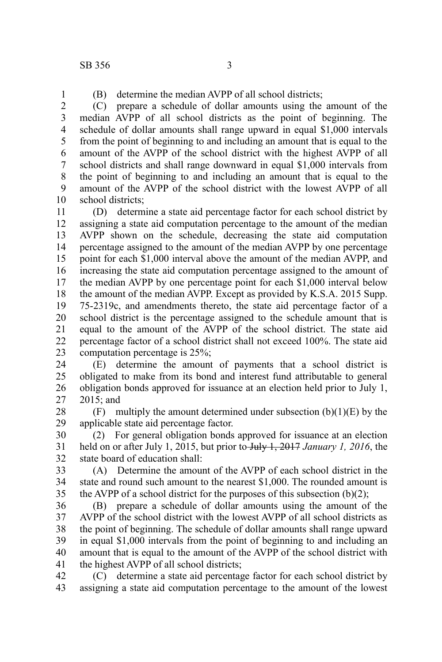1

(B) determine the median AVPP of all school districts;

(C) prepare a schedule of dollar amounts using the amount of the median AVPP of all school districts as the point of beginning. The schedule of dollar amounts shall range upward in equal \$1,000 intervals from the point of beginning to and including an amount that is equal to the amount of the AVPP of the school district with the highest AVPP of all school districts and shall range downward in equal \$1,000 intervals from the point of beginning to and including an amount that is equal to the amount of the AVPP of the school district with the lowest AVPP of all school districts: 2 3 4 5 6 7 8 9 10

(D) determine a state aid percentage factor for each school district by assigning a state aid computation percentage to the amount of the median AVPP shown on the schedule, decreasing the state aid computation percentage assigned to the amount of the median AVPP by one percentage point for each \$1,000 interval above the amount of the median AVPP, and increasing the state aid computation percentage assigned to the amount of the median AVPP by one percentage point for each \$1,000 interval below the amount of the median AVPP. Except as provided by K.S.A. 2015 Supp. 75-2319c, and amendments thereto, the state aid percentage factor of a school district is the percentage assigned to the schedule amount that is equal to the amount of the AVPP of the school district. The state aid percentage factor of a school district shall not exceed 100%. The state aid computation percentage is 25%; 11 12 13 14 15 16 17 18 19 20 21 22 23

(E) determine the amount of payments that a school district is obligated to make from its bond and interest fund attributable to general obligation bonds approved for issuance at an election held prior to July 1, 2015; and 24 25 26 27

 $(F)$  multiply the amount determined under subsection  $(b)(1)(E)$  by the applicable state aid percentage factor. 28 29

(2) For general obligation bonds approved for issuance at an election held on or after July 1, 2015, but prior to July 1, 2017 January 1, 2016, the state board of education shall: 30 31 32

(A) Determine the amount of the AVPP of each school district in the state and round such amount to the nearest \$1,000. The rounded amount is the AVPP of a school district for the purposes of this subsection  $(b)(2)$ ; 33 34 35

(B) prepare a schedule of dollar amounts using the amount of the AVPP of the school district with the lowest AVPP of all school districts as the point of beginning. The schedule of dollar amounts shall range upward in equal \$1,000 intervals from the point of beginning to and including an amount that is equal to the amount of the AVPP of the school district with the highest AVPP of all school districts; 36 37 38 39 40 41

(C) determine a state aid percentage factor for each school district by assigning a state aid computation percentage to the amount of the lowest 42 43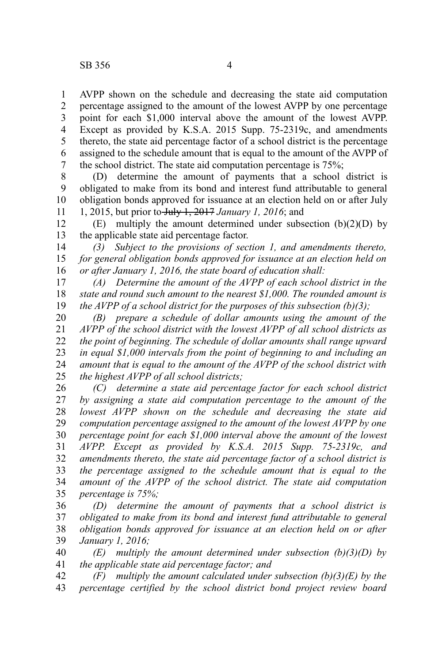AVPP shown on the schedule and decreasing the state aid computation percentage assigned to the amount of the lowest AVPP by one percentage point for each \$1,000 interval above the amount of the lowest AVPP. Except as provided by K.S.A. 2015 Supp. 75-2319c, and amendments thereto, the state aid percentage factor of a school district is the percentage assigned to the schedule amount that is equal to the amount of the AVPP of the school district. The state aid computation percentage is 75%; 1 2 3 4 5 6 7

(D) determine the amount of payments that a school district is obligated to make from its bond and interest fund attributable to general obligation bonds approved for issuance at an election held on or after July 1, 2015, but prior to July 1, 2017 *January 1, 2016*; and 8 9 10 11

(E) multiply the amount determined under subsection  $(b)(2)(D)$  by the applicable state aid percentage factor. 12 13

*(3) Subject to the provisions of section 1, and amendments thereto, for general obligation bonds approved for issuance at an election held on or after January 1, 2016, the state board of education shall:*  14 15 16

*(A) Determine the amount of the AVPP of each school district in the state and round such amount to the nearest \$1,000. The rounded amount is the AVPP of a school district for the purposes of this subsection (b)(3);*  17 18 19

*(B) prepare a schedule of dollar amounts using the amount of the AVPP of the school district with the lowest AVPP of all school districts as the point of beginning. The schedule of dollar amounts shall range upward in equal \$1,000 intervals from the point of beginning to and including an amount that is equal to the amount of the AVPP of the school district with the highest AVPP of all school districts;*  20 21 22 23 24 25

*(C) determine a state aid percentage factor for each school district by assigning a state aid computation percentage to the amount of the lowest AVPP shown on the schedule and decreasing the state aid computation percentage assigned to the amount of the lowest AVPP by one percentage point for each \$1,000 interval above the amount of the lowest AVPP. Except as provided by K.S.A. 2015 Supp. 75-2319c, and amendments thereto, the state aid percentage factor of a school district is the percentage assigned to the schedule amount that is equal to the amount of the AVPP of the school district. The state aid computation percentage is 75%;*  26 27 28 29 30 31 32 33 34 35

*(D) determine the amount of payments that a school district is obligated to make from its bond and interest fund attributable to general obligation bonds approved for issuance at an election held on or after January 1, 2016;* 36 37 38 39

*(E) multiply the amount determined under subsection (b)(3)(D) by the applicable state aid percentage factor; and* 40 41

*(F) multiply the amount calculated under subsection (b)(3)(E) by the percentage certified by the school district bond project review board* 42 43